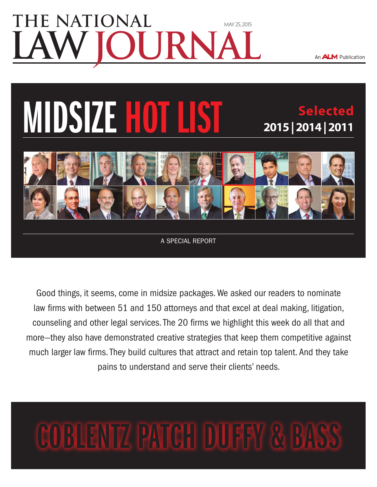### **TE NATIONAL** [May 25, 2015](www.nlj.com) JRN

**2015 | 2014 | 2011**

**Selected**

An **ALM** Publication

# **MIDSIZE HOT**



A special report

Good things, it seems, come in midsize packages. We asked our readers to nominate law firms with between 51 and 150 attorneys and that excel at deal making, litigation, counseling and other legal services. The 20 firms we highlight this week do all that and more—they also have demonstrated creative strategies that keep them competitive against much larger law firms. They build cultures that attract and retain top talent. And they take pains to understand and serve their clients' needs.

## Coblentz Patch Duffy & Bass